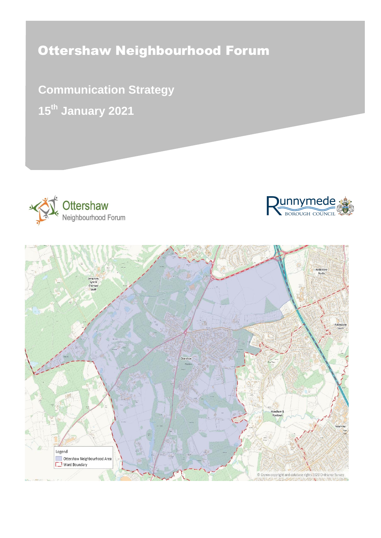# Ottershaw Neighbourhood Forum

**Communication Strategy 15th January 2021**





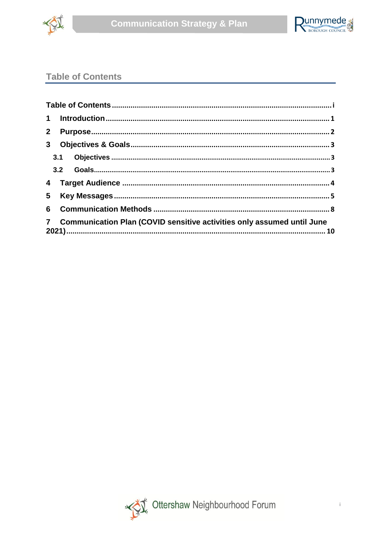



# <span id="page-1-0"></span>**Table of Contents**

| 2 <sub>2</sub> |                                                                          |  |
|----------------|--------------------------------------------------------------------------|--|
| 3 <sup>7</sup> |                                                                          |  |
|                |                                                                          |  |
|                |                                                                          |  |
| $\overline{4}$ |                                                                          |  |
| $5 -$          |                                                                          |  |
|                |                                                                          |  |
|                | 7 Communication Plan (COVID sensitive activities only assumed until June |  |

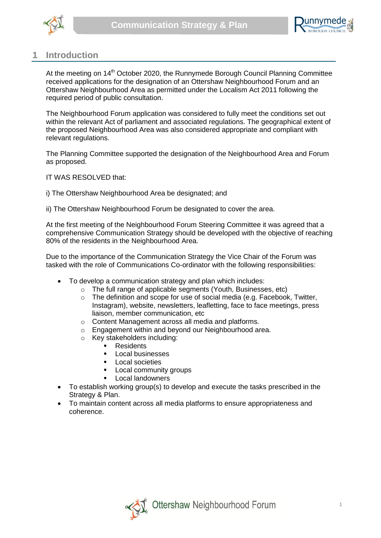



#### <span id="page-2-0"></span>**1 Introduction**

At the meeting on 14<sup>th</sup> October 2020, the Runnymede Borough Council Planning Committee received applications for the designation of an Ottershaw Neighbourhood Forum and an Ottershaw Neighbourhood Area as permitted under the Localism Act 2011 following the required period of public consultation.

The Neighbourhood Forum application was considered to fully meet the conditions set out within the relevant Act of parliament and associated regulations. The geographical extent of the proposed Neighbourhood Area was also considered appropriate and compliant with relevant regulations.

The Planning Committee supported the designation of the Neighbourhood Area and Forum as proposed.

IT WAS RESOLVED that:

i) The Ottershaw Neighbourhood Area be designated; and

ii) The Ottershaw Neighbourhood Forum be designated to cover the area.

At the first meeting of the Neighbourhood Forum Steering Committee it was agreed that a comprehensive Communication Strategy should be developed with the objective of reaching 80% of the residents in the Neighbourhood Area.

Due to the importance of the Communication Strategy the Vice Chair of the Forum was tasked with the role of Communications Co-ordinator with the following responsibilities:

- To develop a communication strategy and plan which includes:
	- o The full range of applicable segments (Youth, Businesses, etc)
	- o The definition and scope for use of social media (e.g. Facebook, Twitter, Instagram), website, newsletters, leafletting, face to face meetings, press liaison, member communication, etc
	- o Content Management across all media and platforms.
	- o Engagement within and beyond our Neighbourhood area.
	- o Key stakeholders including:
		- **Residents**
		- Local businesses
		- **Local societies**
		- **Local community groups**
		- **Local landowners**
- To establish working group(s) to develop and execute the tasks prescribed in the Strategy & Plan.
- To maintain content across all media platforms to ensure appropriateness and coherence.

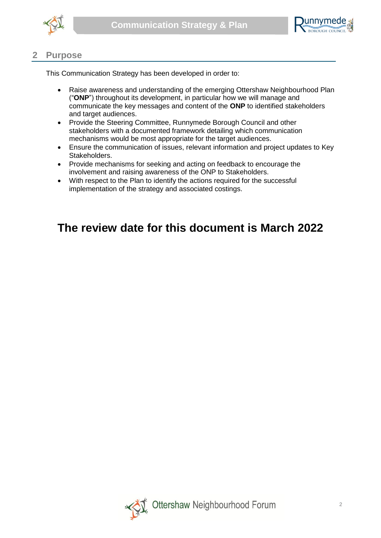



#### <span id="page-3-0"></span>**2 Purpose**

This Communication Strategy has been developed in order to:

- Raise awareness and understanding of the emerging Ottershaw Neighbourhood Plan ("**ONP**") throughout its development, in particular how we will manage and communicate the key messages and content of the **ONP** to identified stakeholders and target audiences.
- Provide the Steering Committee, Runnymede Borough Council and other stakeholders with a documented framework detailing which communication mechanisms would be most appropriate for the target audiences.
- Ensure the communication of issues, relevant information and project updates to Key Stakeholders.
- Provide mechanisms for seeking and acting on feedback to encourage the involvement and raising awareness of the ONP to Stakeholders.
- With respect to the Plan to identify the actions required for the successful implementation of the strategy and associated costings.

# **The review date for this document is March 2022**

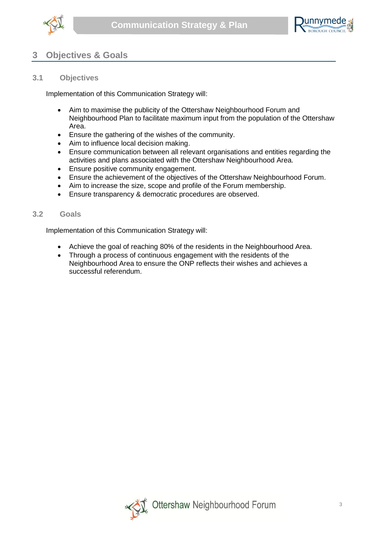



### <span id="page-4-0"></span>**3 Objectives & Goals**

#### <span id="page-4-1"></span>**3.1 Objectives**

Implementation of this Communication Strategy will:

- Aim to maximise the publicity of the Ottershaw Neighbourhood Forum and Neighbourhood Plan to facilitate maximum input from the population of the Ottershaw Area.
- Ensure the gathering of the wishes of the community.
- Aim to influence local decision making.
- Ensure communication between all relevant organisations and entities regarding the activities and plans associated with the Ottershaw Neighbourhood Area.
- **•** Ensure positive community engagement.
- Ensure the achievement of the objectives of the Ottershaw Neighbourhood Forum.
- Aim to increase the size, scope and profile of the Forum membership.
- <span id="page-4-2"></span>Ensure transparency & democratic procedures are observed.

#### **3.2 Goals**

Implementation of this Communication Strategy will:

- Achieve the goal of reaching 80% of the residents in the Neighbourhood Area.
- Through a process of continuous engagement with the residents of the Neighbourhood Area to ensure the ONP reflects their wishes and achieves a successful referendum.

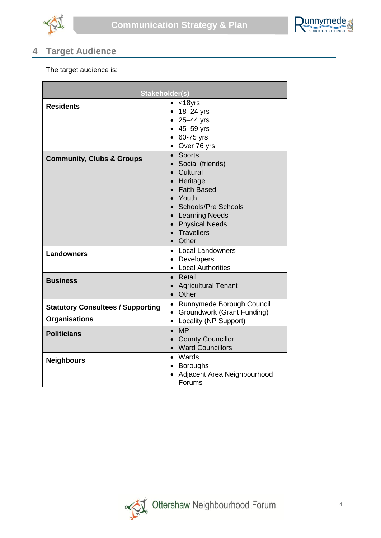



# <span id="page-5-0"></span>**4 Target Audience**

The target audience is:

| <b>Stakeholder(s)</b>                                            |                                                                                                                                                                                                      |
|------------------------------------------------------------------|------------------------------------------------------------------------------------------------------------------------------------------------------------------------------------------------------|
| <b>Residents</b>                                                 | $<$ 18yrs<br>18–24 yrs<br>$-25 - 44$ yrs<br>$-45 - 59$ yrs<br>60-75 yrs<br>$\bullet$<br>• Over 76 yrs                                                                                                |
| <b>Community, Clubs &amp; Groups</b>                             | <b>Sports</b><br>$\bullet$<br>• Social (friends)<br>• Cultural<br>• Heritage<br>• Faith Based<br>• Youth<br>• Schools/Pre Schools<br>• Learning Needs<br>• Physical Needs<br>• Travellers<br>• Other |
| <b>Landowners</b>                                                | <b>Local Landowners</b><br>$\bullet$<br>• Developers<br>• Local Authorities                                                                                                                          |
| <b>Business</b>                                                  | Retail<br>$\bullet$<br><b>Agricultural Tenant</b><br>$\bullet$<br>• Other                                                                                                                            |
| <b>Statutory Consultees / Supporting</b><br><b>Organisations</b> | • Runnymede Borough Council<br><b>Groundwork (Grant Funding)</b><br>$\bullet$<br><b>Locality (NP Support)</b>                                                                                        |
| <b>Politicians</b>                                               | <b>MP</b><br>$\bullet$<br><b>County Councillor</b><br>$\bullet$<br>• Ward Councillors                                                                                                                |
| <b>Neighbours</b>                                                | • Wards<br><b>Boroughs</b><br>Adjacent Area Neighbourhood<br>Forums                                                                                                                                  |

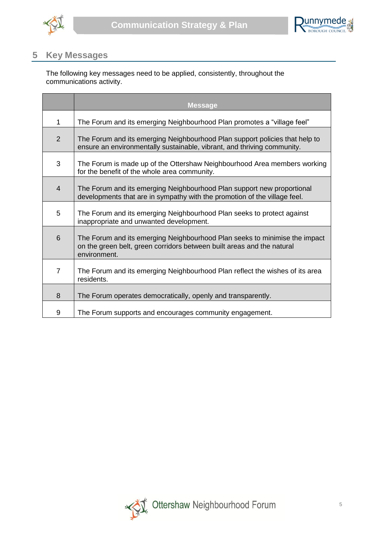



## <span id="page-6-0"></span>**5 Key Messages**

The following key messages need to be applied, consistently, throughout the communications activity.

|                | <b>Message</b>                                                                                                                                                       |
|----------------|----------------------------------------------------------------------------------------------------------------------------------------------------------------------|
| 1              | The Forum and its emerging Neighbourhood Plan promotes a "village feel"                                                                                              |
| $\overline{2}$ | The Forum and its emerging Neighbourhood Plan support policies that help to<br>ensure an environmentally sustainable, vibrant, and thriving community.               |
| 3              | The Forum is made up of the Ottershaw Neighbourhood Area members working<br>for the benefit of the whole area community.                                             |
| $\overline{4}$ | The Forum and its emerging Neighbourhood Plan support new proportional<br>developments that are in sympathy with the promotion of the village feel.                  |
| 5              | The Forum and its emerging Neighbourhood Plan seeks to protect against<br>inappropriate and unwanted development.                                                    |
| 6              | The Forum and its emerging Neighbourhood Plan seeks to minimise the impact<br>on the green belt, green corridors between built areas and the natural<br>environment. |
| $\overline{7}$ | The Forum and its emerging Neighbourhood Plan reflect the wishes of its area<br>residents.                                                                           |
| 8              | The Forum operates democratically, openly and transparently.                                                                                                         |
| 9              | The Forum supports and encourages community engagement.                                                                                                              |

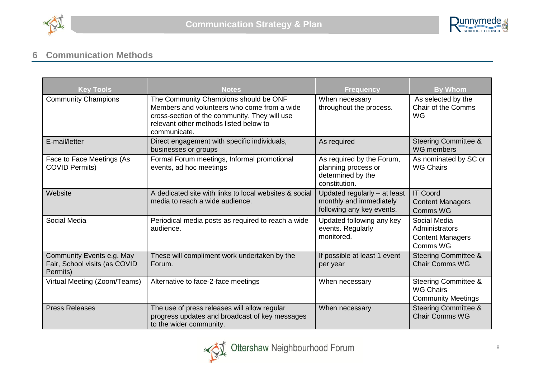



# **6 Communication Methods**

<span id="page-7-0"></span>

| <b>Key Tools</b>                                                       | <b>Notes</b>                                                                                                                                                                                    | <b>Frequency</b>                                                                       | <b>By Whom</b>                                                                   |  |  |  |  |
|------------------------------------------------------------------------|-------------------------------------------------------------------------------------------------------------------------------------------------------------------------------------------------|----------------------------------------------------------------------------------------|----------------------------------------------------------------------------------|--|--|--|--|
| <b>Community Champions</b>                                             | The Community Champions should be ONF<br>Members and volunteers who come from a wide<br>cross-section of the community. They will use<br>relevant other methods listed below to<br>communicate. | When necessary<br>throughout the process.                                              | As selected by the<br><b>Chair of the Comms</b><br><b>WG</b>                     |  |  |  |  |
| E-mail/letter                                                          | Direct engagement with specific individuals,<br>businesses or groups                                                                                                                            | As required                                                                            | <b>Steering Committee &amp;</b><br><b>WG</b> members                             |  |  |  |  |
| Face to Face Meetings (As<br><b>COVID Permits)</b>                     | Formal Forum meetings, Informal promotional<br>events, ad hoc meetings                                                                                                                          | As required by the Forum,<br>planning process or<br>determined by the<br>constitution. | As nominated by SC or<br><b>WG Chairs</b>                                        |  |  |  |  |
| Website                                                                | A dedicated site with links to local websites & social<br>media to reach a wide audience.                                                                                                       | Updated regularly - at least<br>monthly and immediately<br>following any key events.   | <b>IT Coord</b><br><b>Content Managers</b><br>Comms WG                           |  |  |  |  |
| Social Media                                                           | Periodical media posts as required to reach a wide<br>audience.                                                                                                                                 | Updated following any key<br>events. Regularly<br>monitored.                           | Social Media<br>Administrators<br><b>Content Managers</b><br>Comms WG            |  |  |  |  |
| Community Events e.g. May<br>Fair, School visits (as COVID<br>Permits) | These will compliment work undertaken by the<br>Forum.                                                                                                                                          | If possible at least 1 event<br>per year                                               | <b>Steering Committee &amp;</b><br><b>Chair Comms WG</b>                         |  |  |  |  |
| Virtual Meeting (Zoom/Teams)                                           | Alternative to face-2-face meetings                                                                                                                                                             | When necessary                                                                         | <b>Steering Committee &amp;</b><br><b>WG Chairs</b><br><b>Community Meetings</b> |  |  |  |  |
| <b>Press Releases</b>                                                  | The use of press releases will allow regular<br>progress updates and broadcast of key messages<br>to the wider community.                                                                       | When necessary                                                                         | <b>Steering Committee &amp;</b><br><b>Chair Comms WG</b>                         |  |  |  |  |

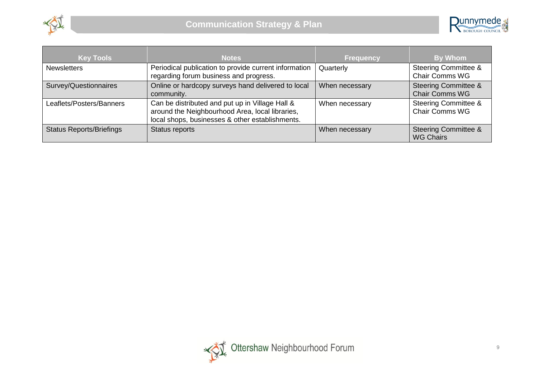



| <b>Key Tools</b>                | <b>Notes</b>                                                                                                                                          | <b>Frequency</b> | By Whom                                                  |
|---------------------------------|-------------------------------------------------------------------------------------------------------------------------------------------------------|------------------|----------------------------------------------------------|
| <b>Newsletters</b>              | Periodical publication to provide current information<br>regarding forum business and progress.                                                       | Quarterly        | <b>Steering Committee &amp;</b><br><b>Chair Comms WG</b> |
| Survey/Questionnaires           | Online or hardcopy surveys hand delivered to local<br>community.                                                                                      | When necessary   | <b>Steering Committee &amp;</b><br><b>Chair Comms WG</b> |
| Leaflets/Posters/Banners        | Can be distributed and put up in Village Hall &<br>around the Neighbourhood Area, local libraries,<br>local shops, businesses & other establishments. | When necessary   | <b>Steering Committee &amp;</b><br><b>Chair Comms WG</b> |
| <b>Status Reports/Briefings</b> | Status reports                                                                                                                                        | When necessary   | <b>Steering Committee &amp;</b><br><b>WG Chairs</b>      |

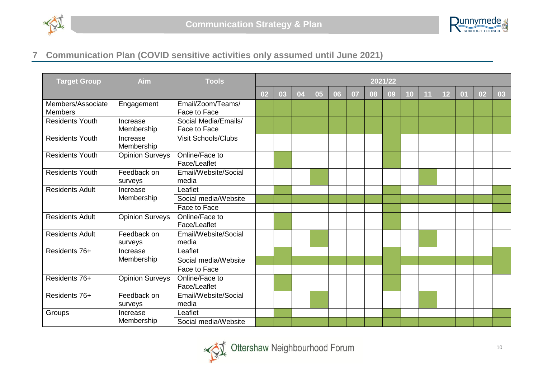



# **7 Communication Plan (COVID sensitive activities only assumed until June 2021)**

<span id="page-9-0"></span>

| <b>Target Group</b>                 | Aim                    | <b>Tools</b>                         | 2021/22 |    |    |    |    |    |    |    |    |    |    |    |    |    |
|-------------------------------------|------------------------|--------------------------------------|---------|----|----|----|----|----|----|----|----|----|----|----|----|----|
|                                     |                        |                                      | 02      | 03 | 04 | 05 | 06 | 07 | 08 | 09 | 10 | 11 | 12 | 01 | 02 | 03 |
| Members/Associate<br><b>Members</b> | Engagement             | Email/Zoom/Teams/<br>Face to Face    |         |    |    |    |    |    |    |    |    |    |    |    |    |    |
| <b>Residents Youth</b>              | Increase<br>Membership | Social Media/Emails/<br>Face to Face |         |    |    |    |    |    |    |    |    |    |    |    |    |    |
| <b>Residents Youth</b>              | Increase<br>Membership | <b>Visit Schools/Clubs</b>           |         |    |    |    |    |    |    |    |    |    |    |    |    |    |
| <b>Residents Youth</b>              | <b>Opinion Surveys</b> | Online/Face to<br>Face/Leaflet       |         |    |    |    |    |    |    |    |    |    |    |    |    |    |
| <b>Residents Youth</b>              | Feedback on<br>surveys | Email/Website/Social<br>media        |         |    |    |    |    |    |    |    |    |    |    |    |    |    |
| <b>Residents Adult</b>              | Increase<br>Membership | Leaflet                              |         |    |    |    |    |    |    |    |    |    |    |    |    |    |
|                                     |                        | Social media/Website                 |         |    |    |    |    |    |    |    |    |    |    |    |    |    |
|                                     |                        | Face to Face                         |         |    |    |    |    |    |    |    |    |    |    |    |    |    |
| <b>Residents Adult</b>              | <b>Opinion Surveys</b> | Online/Face to<br>Face/Leaflet       |         |    |    |    |    |    |    |    |    |    |    |    |    |    |
| <b>Residents Adult</b>              | Feedback on<br>surveys | Email/Website/Social<br>media        |         |    |    |    |    |    |    |    |    |    |    |    |    |    |
| Residents 76+                       | Increase               | Leaflet                              |         |    |    |    |    |    |    |    |    |    |    |    |    |    |
|                                     | Membership             | Social media/Website                 |         |    |    |    |    |    |    |    |    |    |    |    |    |    |
|                                     |                        | Face to Face                         |         |    |    |    |    |    |    |    |    |    |    |    |    |    |
| Residents 76+                       | <b>Opinion Surveys</b> | Online/Face to<br>Face/Leaflet       |         |    |    |    |    |    |    |    |    |    |    |    |    |    |
| Residents 76+                       | Feedback on<br>surveys | Email/Website/Social<br>media        |         |    |    |    |    |    |    |    |    |    |    |    |    |    |
| Groups                              | Increase               | Leaflet                              |         |    |    |    |    |    |    |    |    |    |    |    |    |    |
|                                     | Membership             | Social media/Website                 |         |    |    |    |    |    |    |    |    |    |    |    |    |    |

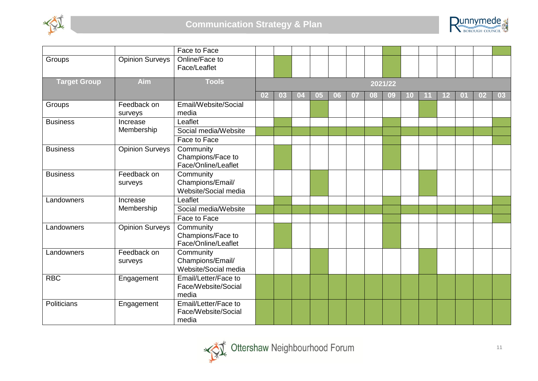



|                     |                        | Face to Face                                          |    |    |    |    |    |    |    |         |    |    |    |                |    |    |
|---------------------|------------------------|-------------------------------------------------------|----|----|----|----|----|----|----|---------|----|----|----|----------------|----|----|
| Groups              | <b>Opinion Surveys</b> | Online/Face to<br>Face/Leaflet                        |    |    |    |    |    |    |    |         |    |    |    |                |    |    |
| <b>Target Group</b> | Aim                    | <b>Tools</b>                                          |    |    |    |    |    |    |    | 2021/22 |    |    |    |                |    |    |
|                     |                        |                                                       | 02 | 03 | 04 | 05 | 06 | 07 | 08 | 09      | 10 | 11 | 12 | 0 <sub>1</sub> | 02 | 03 |
| Groups              | Feedback on<br>surveys | Email/Website/Social<br>media                         |    |    |    |    |    |    |    |         |    |    |    |                |    |    |
| <b>Business</b>     | Increase               | Leaflet                                               |    |    |    |    |    |    |    |         |    |    |    |                |    |    |
|                     | Membership             | Social media/Website                                  |    |    |    |    |    |    |    |         |    |    |    |                |    |    |
|                     |                        | Face to Face                                          |    |    |    |    |    |    |    |         |    |    |    |                |    |    |
| <b>Business</b>     | Opinion Surveys        | Community<br>Champions/Face to<br>Face/Online/Leaflet |    |    |    |    |    |    |    |         |    |    |    |                |    |    |
| <b>Business</b>     | Feedback on<br>surveys | Community<br>Champions/Email/<br>Website/Social media |    |    |    |    |    |    |    |         |    |    |    |                |    |    |
| Landowners          | Increase<br>Membership | Leaflet                                               |    |    |    |    |    |    |    |         |    |    |    |                |    |    |
|                     |                        | Social media/Website                                  |    |    |    |    |    |    |    |         |    |    |    |                |    |    |
|                     |                        | Face to Face                                          |    |    |    |    |    |    |    |         |    |    |    |                |    |    |
| Landowners          | <b>Opinion Surveys</b> | Community<br>Champions/Face to<br>Face/Online/Leaflet |    |    |    |    |    |    |    |         |    |    |    |                |    |    |
| Landowners          | Feedback on<br>surveys | Community<br>Champions/Email/<br>Website/Social media |    |    |    |    |    |    |    |         |    |    |    |                |    |    |
| <b>RBC</b>          | Engagement             | Email/Letter/Face to<br>Face/Website/Social<br>media  |    |    |    |    |    |    |    |         |    |    |    |                |    |    |
| Politicians         | Engagement             | Email/Letter/Face to<br>Face/Website/Social<br>media  |    |    |    |    |    |    |    |         |    |    |    |                |    |    |